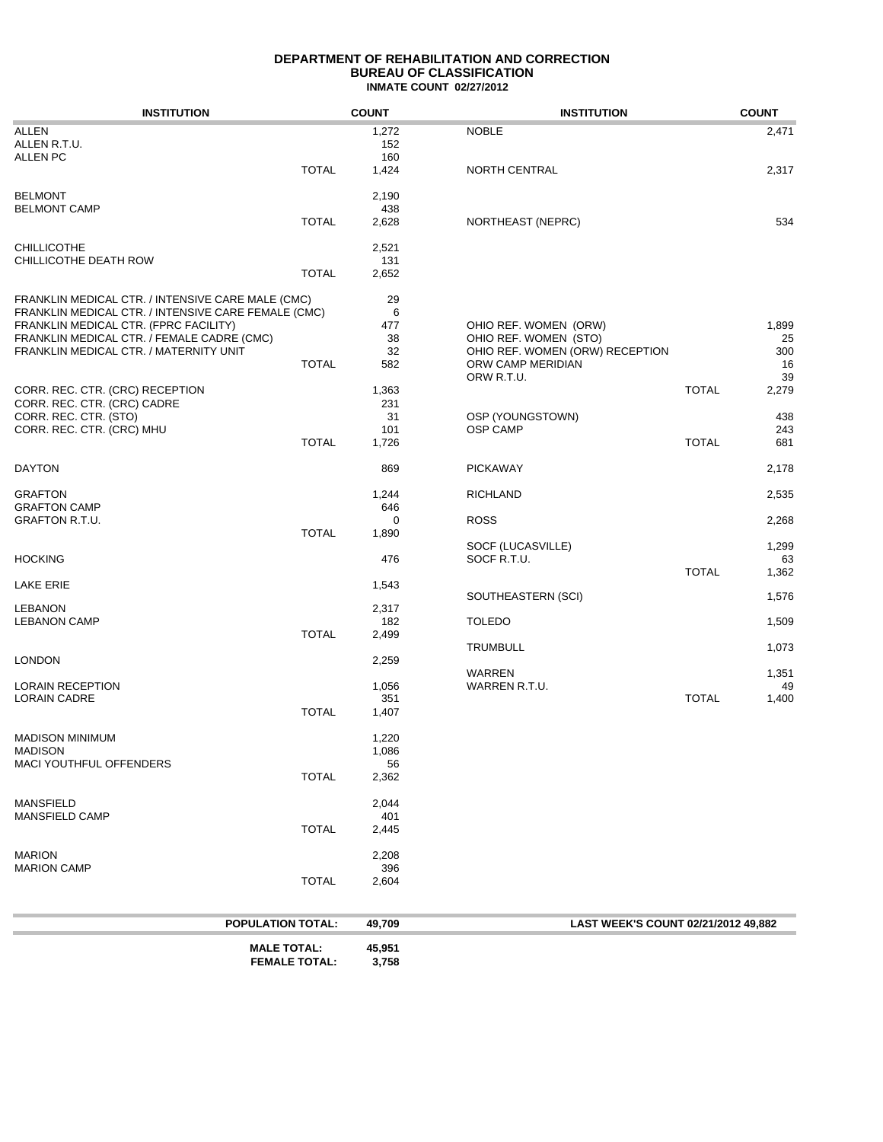## **DEPARTMENT OF REHABILITATION AND CORRECTION BUREAU OF CLASSIFICATION INMATE COUNT 02/27/2012**

| <b>NOBLE</b><br>ALLEN<br>1,272<br>ALLEN R.T.U.<br>152<br><b>ALLEN PC</b><br>160<br><b>TOTAL</b><br>1,424<br>NORTH CENTRAL<br><b>BELMONT</b><br>2,190<br><b>BELMONT CAMP</b><br>438<br><b>TOTAL</b><br>2,628<br>NORTHEAST (NEPRC)<br><b>CHILLICOTHE</b><br>2,521<br>CHILLICOTHE DEATH ROW<br>131<br><b>TOTAL</b><br>2,652<br>FRANKLIN MEDICAL CTR. / INTENSIVE CARE MALE (CMC)<br>29<br>6<br>477<br>OHIO REF. WOMEN (ORW)<br>38<br>OHIO REF. WOMEN (STO)<br>32<br>OHIO REF. WOMEN (ORW) RECEPTION<br><b>TOTAL</b><br>582<br>ORW CAMP MERIDIAN<br>ORW R.T.U.<br><b>TOTAL</b><br>1,363<br>231<br>31<br>OSP (YOUNGSTOWN)<br>101<br><b>OSP CAMP</b><br><b>TOTAL</b><br><b>TOTAL</b><br>1,726<br>869<br><b>PICKAWAY</b><br>1,244<br><b>RICHLAND</b><br>646<br><b>ROSS</b><br>0<br><b>TOTAL</b><br>1,890<br>SOCF (LUCASVILLE)<br>HOCKING<br>476<br>SOCF R.T.U.<br><b>TOTAL</b><br>1,543<br>SOUTHEASTERN (SCI)<br>2,317<br>182<br><b>TOLEDO</b><br><b>TOTAL</b><br>2,499<br><b>TRUMBULL</b><br>2,259<br><b>WARREN</b><br>1,056<br>WARREN R.T.U.<br><b>TOTAL</b><br>351<br><b>TOTAL</b><br>1,407<br>1,220<br>1,086<br>56<br><b>TOTAL</b><br>2,362<br>2,044<br>401<br><b>TOTAL</b><br>2,445<br>2,208<br>396<br><b>TOTAL</b><br>2,604<br><b>POPULATION TOTAL:</b><br>49,709<br>LAST WEEK'S COUNT 02/21/2012 49.882<br><b>MALE TOTAL:</b> | <b>INSTITUTION</b> | <b>COUNT</b> | <b>INSTITUTION</b> | <b>COUNT</b> |
|-------------------------------------------------------------------------------------------------------------------------------------------------------------------------------------------------------------------------------------------------------------------------------------------------------------------------------------------------------------------------------------------------------------------------------------------------------------------------------------------------------------------------------------------------------------------------------------------------------------------------------------------------------------------------------------------------------------------------------------------------------------------------------------------------------------------------------------------------------------------------------------------------------------------------------------------------------------------------------------------------------------------------------------------------------------------------------------------------------------------------------------------------------------------------------------------------------------------------------------------------------------------------------------------------------------------------------|--------------------|--------------|--------------------|--------------|
|                                                                                                                                                                                                                                                                                                                                                                                                                                                                                                                                                                                                                                                                                                                                                                                                                                                                                                                                                                                                                                                                                                                                                                                                                                                                                                                               |                    |              |                    | 2,471        |
|                                                                                                                                                                                                                                                                                                                                                                                                                                                                                                                                                                                                                                                                                                                                                                                                                                                                                                                                                                                                                                                                                                                                                                                                                                                                                                                               |                    |              |                    |              |
|                                                                                                                                                                                                                                                                                                                                                                                                                                                                                                                                                                                                                                                                                                                                                                                                                                                                                                                                                                                                                                                                                                                                                                                                                                                                                                                               |                    |              |                    |              |
|                                                                                                                                                                                                                                                                                                                                                                                                                                                                                                                                                                                                                                                                                                                                                                                                                                                                                                                                                                                                                                                                                                                                                                                                                                                                                                                               |                    |              |                    | 2,317        |
|                                                                                                                                                                                                                                                                                                                                                                                                                                                                                                                                                                                                                                                                                                                                                                                                                                                                                                                                                                                                                                                                                                                                                                                                                                                                                                                               |                    |              |                    |              |
|                                                                                                                                                                                                                                                                                                                                                                                                                                                                                                                                                                                                                                                                                                                                                                                                                                                                                                                                                                                                                                                                                                                                                                                                                                                                                                                               |                    |              |                    |              |
|                                                                                                                                                                                                                                                                                                                                                                                                                                                                                                                                                                                                                                                                                                                                                                                                                                                                                                                                                                                                                                                                                                                                                                                                                                                                                                                               |                    |              |                    | 534          |
|                                                                                                                                                                                                                                                                                                                                                                                                                                                                                                                                                                                                                                                                                                                                                                                                                                                                                                                                                                                                                                                                                                                                                                                                                                                                                                                               |                    |              |                    |              |
|                                                                                                                                                                                                                                                                                                                                                                                                                                                                                                                                                                                                                                                                                                                                                                                                                                                                                                                                                                                                                                                                                                                                                                                                                                                                                                                               |                    |              |                    |              |
|                                                                                                                                                                                                                                                                                                                                                                                                                                                                                                                                                                                                                                                                                                                                                                                                                                                                                                                                                                                                                                                                                                                                                                                                                                                                                                                               |                    |              |                    |              |
|                                                                                                                                                                                                                                                                                                                                                                                                                                                                                                                                                                                                                                                                                                                                                                                                                                                                                                                                                                                                                                                                                                                                                                                                                                                                                                                               |                    |              |                    |              |
| FRANKLIN MEDICAL CTR. / INTENSIVE CARE FEMALE (CMC)<br>FRANKLIN MEDICAL CTR. (FPRC FACILITY)<br>FRANKLIN MEDICAL CTR. / FEMALE CADRE (CMC)<br>FRANKLIN MEDICAL CTR. / MATERNITY UNIT<br>CORR. REC. CTR. (CRC) RECEPTION<br>CORR. REC. CTR. (CRC) CADRE<br>CORR. REC. CTR. (STO)<br>CORR. REC. CTR. (CRC) MHU<br><b>DAYTON</b><br><b>GRAFTON</b><br><b>GRAFTON CAMP</b><br><b>GRAFTON R.T.U.</b><br><b>LAKE ERIE</b><br><b>LEBANON</b><br><b>LEBANON CAMP</b><br><b>LONDON</b><br><b>LORAIN RECEPTION</b><br>LORAIN CADRE<br><b>MADISON MINIMUM</b><br>MADISON<br>MACI YOUTHFUL OFFENDERS<br><b>MANSFIELD</b><br><b>MANSFIELD CAMP</b><br><b>MARION</b><br><b>MARION CAMP</b>                                                                                                                                                                                                                                                                                                                                                                                                                                                                                                                                                                                                                                                  |                    |              |                    |              |
|                                                                                                                                                                                                                                                                                                                                                                                                                                                                                                                                                                                                                                                                                                                                                                                                                                                                                                                                                                                                                                                                                                                                                                                                                                                                                                                               |                    |              |                    |              |
|                                                                                                                                                                                                                                                                                                                                                                                                                                                                                                                                                                                                                                                                                                                                                                                                                                                                                                                                                                                                                                                                                                                                                                                                                                                                                                                               |                    |              |                    | 1,899        |
|                                                                                                                                                                                                                                                                                                                                                                                                                                                                                                                                                                                                                                                                                                                                                                                                                                                                                                                                                                                                                                                                                                                                                                                                                                                                                                                               |                    |              |                    | 25           |
|                                                                                                                                                                                                                                                                                                                                                                                                                                                                                                                                                                                                                                                                                                                                                                                                                                                                                                                                                                                                                                                                                                                                                                                                                                                                                                                               |                    |              |                    | 300          |
|                                                                                                                                                                                                                                                                                                                                                                                                                                                                                                                                                                                                                                                                                                                                                                                                                                                                                                                                                                                                                                                                                                                                                                                                                                                                                                                               |                    |              |                    | 16           |
|                                                                                                                                                                                                                                                                                                                                                                                                                                                                                                                                                                                                                                                                                                                                                                                                                                                                                                                                                                                                                                                                                                                                                                                                                                                                                                                               |                    |              |                    | 39           |
|                                                                                                                                                                                                                                                                                                                                                                                                                                                                                                                                                                                                                                                                                                                                                                                                                                                                                                                                                                                                                                                                                                                                                                                                                                                                                                                               |                    |              |                    | 2,279        |
|                                                                                                                                                                                                                                                                                                                                                                                                                                                                                                                                                                                                                                                                                                                                                                                                                                                                                                                                                                                                                                                                                                                                                                                                                                                                                                                               |                    |              |                    |              |
|                                                                                                                                                                                                                                                                                                                                                                                                                                                                                                                                                                                                                                                                                                                                                                                                                                                                                                                                                                                                                                                                                                                                                                                                                                                                                                                               |                    |              |                    | 438          |
|                                                                                                                                                                                                                                                                                                                                                                                                                                                                                                                                                                                                                                                                                                                                                                                                                                                                                                                                                                                                                                                                                                                                                                                                                                                                                                                               |                    |              |                    | 243          |
|                                                                                                                                                                                                                                                                                                                                                                                                                                                                                                                                                                                                                                                                                                                                                                                                                                                                                                                                                                                                                                                                                                                                                                                                                                                                                                                               |                    |              |                    | 681          |
|                                                                                                                                                                                                                                                                                                                                                                                                                                                                                                                                                                                                                                                                                                                                                                                                                                                                                                                                                                                                                                                                                                                                                                                                                                                                                                                               |                    |              |                    | 2,178        |
|                                                                                                                                                                                                                                                                                                                                                                                                                                                                                                                                                                                                                                                                                                                                                                                                                                                                                                                                                                                                                                                                                                                                                                                                                                                                                                                               |                    |              |                    |              |
|                                                                                                                                                                                                                                                                                                                                                                                                                                                                                                                                                                                                                                                                                                                                                                                                                                                                                                                                                                                                                                                                                                                                                                                                                                                                                                                               |                    |              |                    | 2,535        |
|                                                                                                                                                                                                                                                                                                                                                                                                                                                                                                                                                                                                                                                                                                                                                                                                                                                                                                                                                                                                                                                                                                                                                                                                                                                                                                                               |                    |              |                    |              |
|                                                                                                                                                                                                                                                                                                                                                                                                                                                                                                                                                                                                                                                                                                                                                                                                                                                                                                                                                                                                                                                                                                                                                                                                                                                                                                                               |                    |              |                    | 2,268        |
|                                                                                                                                                                                                                                                                                                                                                                                                                                                                                                                                                                                                                                                                                                                                                                                                                                                                                                                                                                                                                                                                                                                                                                                                                                                                                                                               |                    |              |                    |              |
|                                                                                                                                                                                                                                                                                                                                                                                                                                                                                                                                                                                                                                                                                                                                                                                                                                                                                                                                                                                                                                                                                                                                                                                                                                                                                                                               |                    |              |                    | 1,299        |
|                                                                                                                                                                                                                                                                                                                                                                                                                                                                                                                                                                                                                                                                                                                                                                                                                                                                                                                                                                                                                                                                                                                                                                                                                                                                                                                               |                    |              |                    | 63<br>1,362  |
|                                                                                                                                                                                                                                                                                                                                                                                                                                                                                                                                                                                                                                                                                                                                                                                                                                                                                                                                                                                                                                                                                                                                                                                                                                                                                                                               |                    |              |                    |              |
|                                                                                                                                                                                                                                                                                                                                                                                                                                                                                                                                                                                                                                                                                                                                                                                                                                                                                                                                                                                                                                                                                                                                                                                                                                                                                                                               |                    |              |                    | 1,576        |
|                                                                                                                                                                                                                                                                                                                                                                                                                                                                                                                                                                                                                                                                                                                                                                                                                                                                                                                                                                                                                                                                                                                                                                                                                                                                                                                               |                    |              |                    |              |
|                                                                                                                                                                                                                                                                                                                                                                                                                                                                                                                                                                                                                                                                                                                                                                                                                                                                                                                                                                                                                                                                                                                                                                                                                                                                                                                               |                    |              |                    | 1,509        |
|                                                                                                                                                                                                                                                                                                                                                                                                                                                                                                                                                                                                                                                                                                                                                                                                                                                                                                                                                                                                                                                                                                                                                                                                                                                                                                                               |                    |              |                    |              |
|                                                                                                                                                                                                                                                                                                                                                                                                                                                                                                                                                                                                                                                                                                                                                                                                                                                                                                                                                                                                                                                                                                                                                                                                                                                                                                                               |                    |              |                    | 1,073        |
|                                                                                                                                                                                                                                                                                                                                                                                                                                                                                                                                                                                                                                                                                                                                                                                                                                                                                                                                                                                                                                                                                                                                                                                                                                                                                                                               |                    |              |                    |              |
|                                                                                                                                                                                                                                                                                                                                                                                                                                                                                                                                                                                                                                                                                                                                                                                                                                                                                                                                                                                                                                                                                                                                                                                                                                                                                                                               |                    |              |                    | 1,351        |
|                                                                                                                                                                                                                                                                                                                                                                                                                                                                                                                                                                                                                                                                                                                                                                                                                                                                                                                                                                                                                                                                                                                                                                                                                                                                                                                               |                    |              |                    | 49           |
|                                                                                                                                                                                                                                                                                                                                                                                                                                                                                                                                                                                                                                                                                                                                                                                                                                                                                                                                                                                                                                                                                                                                                                                                                                                                                                                               |                    |              |                    | 1,400        |
|                                                                                                                                                                                                                                                                                                                                                                                                                                                                                                                                                                                                                                                                                                                                                                                                                                                                                                                                                                                                                                                                                                                                                                                                                                                                                                                               |                    |              |                    |              |
|                                                                                                                                                                                                                                                                                                                                                                                                                                                                                                                                                                                                                                                                                                                                                                                                                                                                                                                                                                                                                                                                                                                                                                                                                                                                                                                               |                    |              |                    |              |
|                                                                                                                                                                                                                                                                                                                                                                                                                                                                                                                                                                                                                                                                                                                                                                                                                                                                                                                                                                                                                                                                                                                                                                                                                                                                                                                               |                    |              |                    |              |
|                                                                                                                                                                                                                                                                                                                                                                                                                                                                                                                                                                                                                                                                                                                                                                                                                                                                                                                                                                                                                                                                                                                                                                                                                                                                                                                               |                    |              |                    |              |
|                                                                                                                                                                                                                                                                                                                                                                                                                                                                                                                                                                                                                                                                                                                                                                                                                                                                                                                                                                                                                                                                                                                                                                                                                                                                                                                               |                    |              |                    |              |
|                                                                                                                                                                                                                                                                                                                                                                                                                                                                                                                                                                                                                                                                                                                                                                                                                                                                                                                                                                                                                                                                                                                                                                                                                                                                                                                               |                    |              |                    |              |
|                                                                                                                                                                                                                                                                                                                                                                                                                                                                                                                                                                                                                                                                                                                                                                                                                                                                                                                                                                                                                                                                                                                                                                                                                                                                                                                               |                    |              |                    |              |
|                                                                                                                                                                                                                                                                                                                                                                                                                                                                                                                                                                                                                                                                                                                                                                                                                                                                                                                                                                                                                                                                                                                                                                                                                                                                                                                               |                    |              |                    |              |
|                                                                                                                                                                                                                                                                                                                                                                                                                                                                                                                                                                                                                                                                                                                                                                                                                                                                                                                                                                                                                                                                                                                                                                                                                                                                                                                               |                    |              |                    |              |
|                                                                                                                                                                                                                                                                                                                                                                                                                                                                                                                                                                                                                                                                                                                                                                                                                                                                                                                                                                                                                                                                                                                                                                                                                                                                                                                               |                    |              |                    |              |
|                                                                                                                                                                                                                                                                                                                                                                                                                                                                                                                                                                                                                                                                                                                                                                                                                                                                                                                                                                                                                                                                                                                                                                                                                                                                                                                               |                    |              |                    |              |
|                                                                                                                                                                                                                                                                                                                                                                                                                                                                                                                                                                                                                                                                                                                                                                                                                                                                                                                                                                                                                                                                                                                                                                                                                                                                                                                               |                    |              |                    |              |
|                                                                                                                                                                                                                                                                                                                                                                                                                                                                                                                                                                                                                                                                                                                                                                                                                                                                                                                                                                                                                                                                                                                                                                                                                                                                                                                               |                    |              |                    |              |
|                                                                                                                                                                                                                                                                                                                                                                                                                                                                                                                                                                                                                                                                                                                                                                                                                                                                                                                                                                                                                                                                                                                                                                                                                                                                                                                               |                    |              |                    |              |
| <b>FEMALE TOTAL:</b><br>3,758                                                                                                                                                                                                                                                                                                                                                                                                                                                                                                                                                                                                                                                                                                                                                                                                                                                                                                                                                                                                                                                                                                                                                                                                                                                                                                 |                    | 45,951       |                    |              |